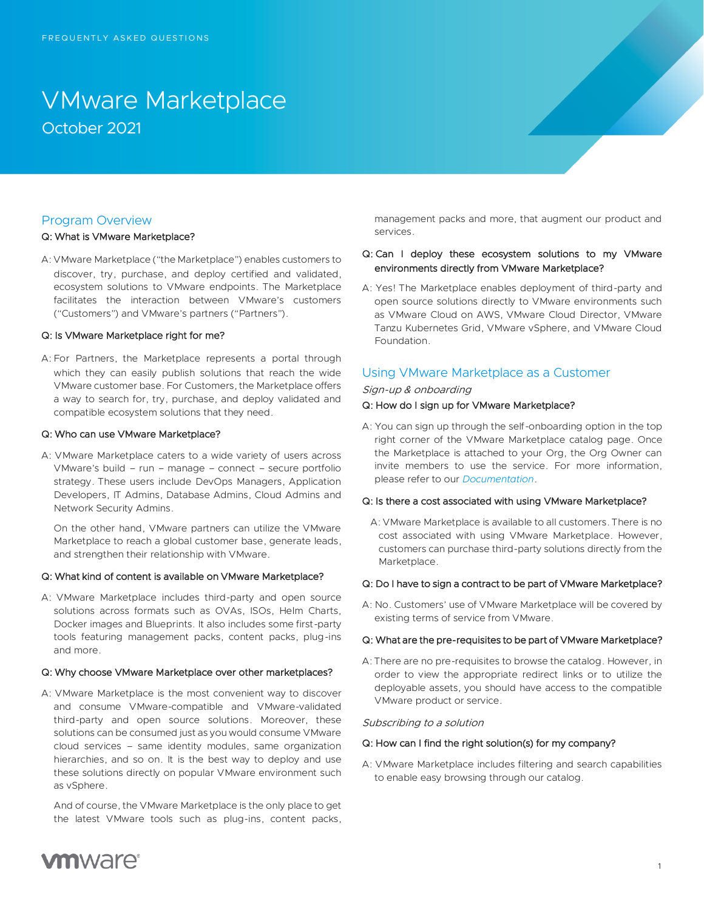# VMware Marketplace October 2021

## Program Overview

#### Q: What is VMware Marketplace?

A: VMware Marketplace ("the Marketplace") enables customers to discover, try, purchase, and deploy certified and validated, ecosystem solutions to VMware endpoints. The Marketplace facilitates the interaction between VMware's customers ("Customers") and VMware's partners ("Partners").

#### Q: Is VMware Marketplace right for me?

A: For Partners, the Marketplace represents a portal through which they can easily publish solutions that reach the wide VMware customer base. For Customers, the Marketplace offers a way to search for, try, purchase, and deploy validated and compatible ecosystem solutions that they need.

#### Q: Who can use VMware Marketplace?

A: VMware Marketplace caters to a wide variety of users across VMware's build – run – manage – connect – secure portfolio strategy. These users include DevOps Managers, Application Developers, IT Admins, Database Admins, Cloud Admins and Network Security Admins.

On the other hand, VMware partners can utilize the VMware Marketplace to reach a global customer base, generate leads, and strengthen their relationship with VMware.

#### Q: What kind of content is available on VMware Marketplace?

A: VMware Marketplace includes third-party and open source solutions across formats such as OVAs, ISOs, Helm Charts, Docker images and Blueprints. It also includes some first-party tools featuring management packs, content packs, plug-ins and more.

#### Q: Why choose VMware Marketplace over other marketplaces?

A: VMware Marketplace is the most convenient way to discover and consume VMware-compatible and VMware-validated third-party and open source solutions. Moreover, these solutions can be consumed just as you would consume VMware cloud services – same identity modules, same organization hierarchies, and so on. It is the best way to deploy and use these solutions directly on popular VMware environment such as vSphere.

And of course, the VMware Marketplace is the only place to get the latest VMware tools such as plug-ins, content packs, management packs and more, that augment our product and services.

## Q: Can I deploy these ecosystem solutions to my VMware environments directly from VMware Marketplace?

A: Yes! The Marketplace enables deployment of third-party and open source solutions directly to VMware environments such as VMware Cloud on AWS, VMware Cloud Director, VMware Tanzu Kubernetes Grid, VMware vSphere, and VMware Cloud Foundation.

## Using VMware Marketplace as a Customer

#### Sign-up & onboarding

## Q: How do I sign up for VMware Marketplace?

A: You can sign up through the self-onboarding option in the top right corner of the VMware Marketplace catalog page. Once the Marketplace is attached to your Org, the Org Owner can invite members to use the service. For more information, please refer to our *[Documentation](https://docs.vmware.com/en/VMware-Marketplace/index.html)*.

#### Q: Is there a cost associated with using VMware Marketplace?

A: VMware Marketplace is available to all customers. There is no cost associated with using VMware Marketplace. However, customers can purchase third-party solutions directly from the Marketplace.

#### Q: Do I have to sign a contract to be part of VMware Marketplace?

A: No. Customers' use of VMware Marketplace will be covered by existing terms of service from VMware.

#### Q: What are the pre-requisites to be part of VMware Marketplace?

A: There are no pre-requisites to browse the catalog. However, in order to view the appropriate redirect links or to utilize the deployable assets, you should have access to the compatible VMware product or service.

#### Subscribing to a solution

## Q: How can I find the right solution(s) for my company?

A: VMware Marketplace includes filtering and search capabilities to enable easy browsing through our catalog.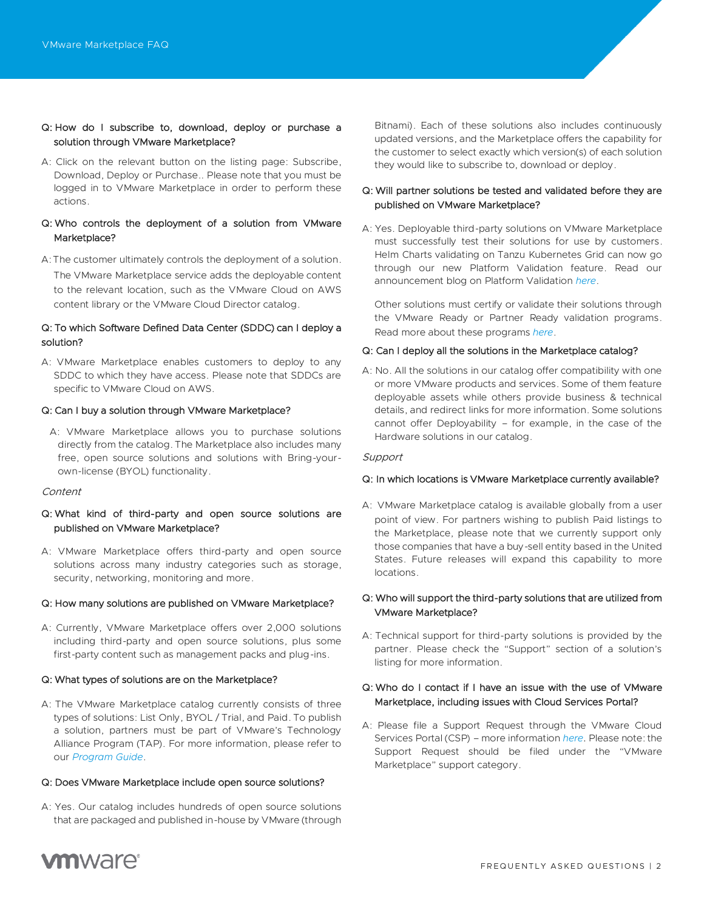## Q: How do I subscribe to, download, deploy or purchase a solution through VMware Marketplace?

A: Click on the relevant button on the listing page: Subscribe, Download, Deploy or Purchase.. Please note that you must be logged in to VMware Marketplace in order to perform these actions.

## Q: Who controls the deployment of a solution from VMware Marketplace?

A:The customer ultimately controls the deployment of a solution. The VMware Marketplace service adds the deployable content to the relevant location, such as the VMware Cloud on AWS content library or the VMware Cloud Director catalog.

## Q: To which Software Defined Data Center (SDDC) can I deploy a solution?

A: VMware Marketplace enables customers to deploy to any SDDC to which they have access. Please note that SDDCs are specific to VMware Cloud on AWS.

#### Q: Can I buy a solution through VMware Marketplace?

A: VMware Marketplace allows you to purchase solutions directly from the catalog. The Marketplace also includes many free, open source solutions and solutions with Bring-yourown-license (BYOL) functionality.

#### Content

## Q: What kind of third-party and open source solutions are published on VMware Marketplace?

A: VMware Marketplace offers third-party and open source solutions across many industry categories such as storage, security, networking, monitoring and more.

#### Q: How many solutions are published on VMware Marketplace?

A: Currently, VMware Marketplace offers over 2,000 solutions including third-party and open source solutions, plus some first-party content such as management packs and plug-ins.

## Q: What types of solutions are on the Marketplace?

A: The VMware Marketplace catalog currently consists of three types of solutions: List Only, BYOL / Trial, and Paid. To publish a solution, partners must be part of VMware's Technology Alliance Program (TAP). For more information, please refer to our *[Program](https://www.vmware.com/content/dam/digitalmarketing/vmware/en/pdf/products/market-place/vmw-marketplace-program-guide.pdf) Guide*.

#### Q: Does VMware Marketplace include open source solutions?

A: Yes. Our catalog includes hundreds of open source solutions that are packaged and published in-house by VMware (through Bitnami). Each of these solutions also includes continuously updated versions, and the Marketplace offers the capability for the customer to select exactly which version(s) of each solution they would like to subscribe to, download or deploy.

## Q: Will partner solutions be tested and validated before they are published on VMware Marketplace?

A: Yes. Deployable third-party solutions on VMware Marketplace must successfully test their solutions for use by customers. Helm Charts validating on Tanzu Kubernetes Grid can now go through our new Platform Validation feature. Read our announcement blog on Platform Validation *[here](https://tanzu.vmware.com/content/blog/vmware-continuous-automated-validation-isv-ecosystem-solutions)*.

Other solutions must certify or validate their solutions through the VMware Ready or Partner Ready validation programs. Read more about these programs *[here](https://www.vmware.com/partners/tech-alliance.html)*.

#### Q: Can I deploy all the solutions in the Marketplace catalog?

A: No. All the solutions in our catalog offer compatibility with one or more VMware products and services. Some of them feature deployable assets while others provide business & technical details, and redirect links for more information. Some solutions cannot offer Deployability – for example, in the case of the Hardware solutions in our catalog.

#### **Support**

#### Q: In which locations is VMware Marketplace currently available?

A: VMware Marketplace catalog is available globally from a user point of view. For partners wishing to publish Paid listings to the Marketplace, please note that we currently support only those companies that have a buy-sell entity based in the United States. Future releases will expand this capability to more locations.

## Q: Who will support the third-party solutions that are utilized from VMware Marketplace?

A: Technical support for third-party solutions is provided by the partner. Please check the "Support" section of a solution's listing for more information.

## Q: Who do I contact if I have an issue with the use of VMware Marketplace, including issues with Cloud Services Portal?

A: Please file a Support Request through the VMware Cloud Services Portal (CSP) – more information *[here](https://docs.vmware.com/en/VMware-Cloud-services/services/Using-VMware-Cloud-Services/GUID-E4DC731F-C039-4FB2-949E-9A61584CD5BF.html)*. Please note: the Support Request should be filed under the "VMware Marketplace" support category.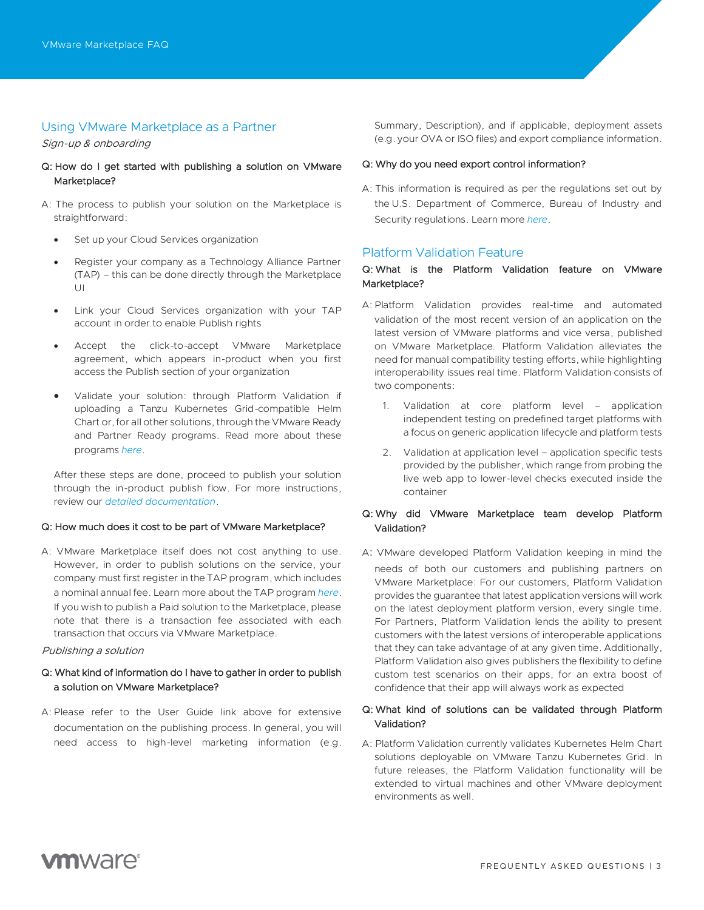## Using VMware Marketplace as a Partner

Sign-up & onboarding

- Q: How do I get started with publishing a solution on VMware Marketplace?
- A: The process to publish your solution on the Marketplace is straightforward:
	- Set up your Cloud Services organization
	- Register your company as a Technology Alliance Partner (TAP) – this can be done directly through the Marketplace UI
	- Link your Cloud Services organization with your TAP account in order to enable Publish rights
	- Accept the click-to-accept VMware Marketplace agreement, which appears in-product when you first access the Publish section of your organization
	- Validate your solution: through Platform Validation if uploading a Tanzu Kubernetes Grid-compatible Helm Chart or, for all other solutions, through the VMware Ready and Partner Ready programs. Read more about these programs *[here](https://www.vmware.com/partners/tech-alliance.html)*.

After these steps are done, proceed to publish your solution through the in-product publish flow. For more instructions, review our *[detailed documentation](https://docs.vmware.com/en/VMware-Marketplace/index.html)*.

#### Q: How much does it cost to be part of VMware Marketplace?

A: VMware Marketplace itself does not cost anything to use. However, in order to publish solutions on the service, your company must first register in the TAP program, which includes a nominal annual fee. Learn more about the TAP program *[here](https://www.vmware.com/partners/tech-alliance.html)*. If you wish to publish a Paid solution to the Marketplace, please note that there is a transaction fee associated with each transaction that occurs via VMware Marketplace.

#### Publishing a solution

## Q: What kind of information do I have to gather in order to publish a solution on VMware Marketplace?

A: Please refer to the User Guide link above for extensive documentation on the publishing process. In general, you will need access to high-level marketing information (e.g.

Summary, Description), and if applicable, deployment assets (e.g. your OVA or ISO files) and export compliance information.

#### Q: Why do you need export control information?

A: This information is required as per the regulations set out by the U.S. Department of Commerce, Bureau of Industry and Security regulations. Learn more *[here](https://www.bis.doc.gov/index.php/documents/regulations-docs/142-eccn-pdf/file)*.

## Platform Validation Feature

## Q: What is the Platform Validation feature on VMware Marketplace?

- A: Platform Validation provides real-time and automated validation of the most recent version of an application on the latest version of VMware platforms and vice versa, published on VMware Marketplace*.* Platform Validation alleviates the need for manual compatibility testing efforts, while highlighting interoperability issues real time. Platform Validation consists of two components:
	- 1. Validation at core platform level application independent testing on predefined target platforms with a focus on generic application lifecycle and platform tests
	- 2. Validation at application level application specific tests provided by the publisher, which range from probing the live web app to lower-level checks executed inside the container

## Q: Why did VMware Marketplace team develop Platform Validation?

A: VMware developed Platform Validation keeping in mind the needs of both our customers and publishing partners on VMware Marketplace: For our customers, Platform Validation provides the guarantee that latest application versions will work on the latest deployment platform version, every single time. For Partners, Platform Validation lends the ability to present customers with the latest versions of interoperable applications that they can take advantage of at any given time. Additionally, Platform Validation also gives publishers the flexibility to define custom test scenarios on their apps, for an extra boost of confidence that their app will always work as expected

## Q: What kind of solutions can be validated through Platform Validation?

A: Platform Validation currently validates Kubernetes Helm Chart solutions deployable on VMware Tanzu Kubernetes Grid. In future releases, the Platform Validation functionality will be extended to virtual machines and other VMware deployment environments as well.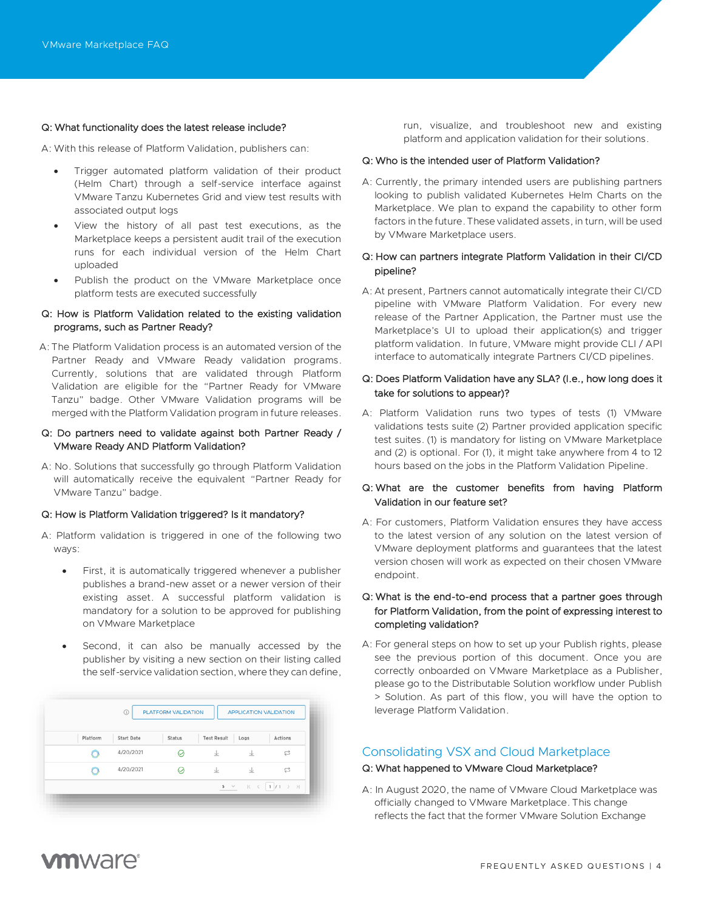#### Q: What functionality does the latest release include?

A: With this release of Platform Validation, publishers can:

- Trigger automated platform validation of their product (Helm Chart) through a self-service interface against VMware Tanzu Kubernetes Grid and view test results with associated output logs
- View the history of all past test executions, as the Marketplace keeps a persistent audit trail of the execution runs for each individual version of the Helm Chart uploaded
- Publish the product on the VMware Marketplace once platform tests are executed successfully

## Q: How is Platform Validation related to the existing validation programs, such as Partner Ready?

A: The Platform Validation process is an automated version of the Partner Ready and VMware Ready validation programs. Currently, solutions that are validated through Platform Validation are eligible for the "Partner Ready for VMware Tanzu" badge. Other VMware Validation programs will be merged with the Platform Validation program in future releases.

#### Q: Do partners need to validate against both Partner Ready / VMware Ready AND Platform Validation?

A: No. Solutions that successfully go through Platform Validation will automatically receive the equivalent "Partner Ready for VMware Tanzu" badge.

#### Q: How is Platform Validation triggered? Is it mandatory?

- A: Platform validation is triggered in one of the following two ways:
	- First, it is automatically triggered whenever a publisher publishes a brand-new asset or a newer version of their existing asset. A successful platform validation is mandatory for a solution to be approved for publishing on VMware Marketplace
	- Second, it can also be manually accessed by the publisher by visiting a new section on their listing called the self-service validation section, where they can define,

| Platform | <b>Start Date</b> | Status | <b>Test Result</b> | Logs | <b>Actions</b> |
|----------|-------------------|--------|--------------------|------|----------------|
|          | 4/20/2021         |        | 业                  | 业    | s              |
|          | 4/20/2021         |        | 业                  | 业    | c              |

run, visualize, and troubleshoot new and existing platform and application validation for their solutions.

#### Q: Who is the intended user of Platform Validation?

A: Currently, the primary intended users are publishing partners looking to publish validated Kubernetes Helm Charts on the Marketplace. We plan to expand the capability to other form factors in the future. These validated assets, in turn, will be used by VMware Marketplace users.

## Q: How can partners integrate Platform Validation in their CI/CD pipeline?

A: At present, Partners cannot automatically integrate their CI/CD pipeline with VMware Platform Validation. For every new release of the Partner Application, the Partner must use the Marketplace's UI to upload their application(s) and trigger platform validation. In future, VMware might provide CLI / API interface to automatically integrate Partners CI/CD pipelines.

## Q: Does Platform Validation have any SLA? (I.e., how long does it take for solutions to appear)?

A: Platform Validation runs two types of tests (1) VMware validations tests suite (2) Partner provided application specific test suites. (1) is mandatory for listing on VMware Marketplace and (2) is optional. For (1), it might take anywhere from 4 to 12 hours based on the jobs in the Platform Validation Pipeline.

## Q: What are the customer benefits from having Platform Validation in our feature set?

A: For customers, Platform Validation ensures they have access to the latest version of any solution on the latest version of VMware deployment platforms and guarantees that the latest version chosen will work as expected on their chosen VMware endpoint.

## Q: What is the end-to-end process that a partner goes through for Platform Validation, from the point of expressing interest to completing validation?

A: For general steps on how to set up your Publish rights, please see the previous portion of this document. Once you are correctly onboarded on VMware Marketplace as a Publisher, please go to the Distributable Solution workflow under Publish > Solution. As part of this flow, you will have the option to leverage Platform Validation.

## Consolidating VSX and Cloud Marketplace

#### Q: What happened to VMware Cloud Marketplace?

A: In August 2020, the name of VMware Cloud Marketplace was officially changed to VMware Marketplace. This change reflects the fact that the former VMware Solution Exchange

## **vm**ware<sup>®</sup>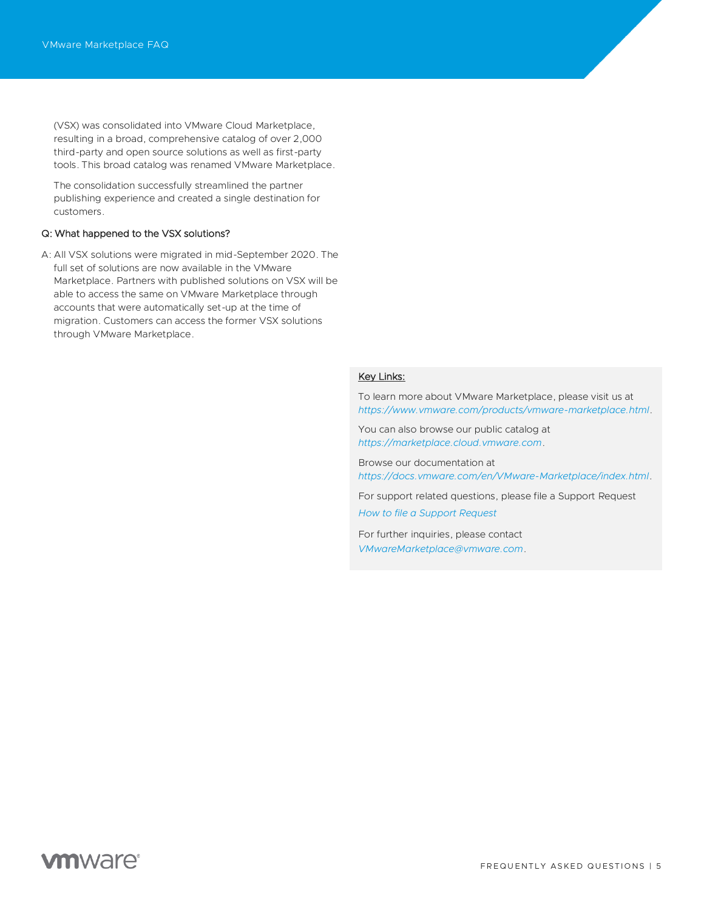(VSX) was consolidated into VMware Cloud Marketplace, resulting in a broad, comprehensive catalog of over 2,000 third-party and open source solutions as well as first-party tools. This broad catalog was renamed VMware Marketplace.

The consolidation successfully streamlined the partner publishing experience and created a single destination for customers.

#### Q: What happened to the VSX solutions?

A: All VSX solutions were migrated in mid-September 2020. The full set of solutions are now available in the VMware Marketplace. Partners with published solutions on VSX will be able to access the same on VMware Marketplace through accounts that were automatically set-up at the time of migration. Customers can access the former VSX solutions through VMware Marketplace.

## Key Links:

To learn more about VMware Marketplace, please visit us at *<https://www.vmware.com/products/vmware-marketplace.html>*.

You can also browse our public catalog at *[https://marketplace.cloud.vmware.com](https://marketplace.cloud.vmware.com/)*.

Browse our documentation at *<https://docs.vmware.com/en/VMware-Marketplace/index.html>*.

For support related questions, please file a Support Request *[How to file a Support Request](https://docs.vmware.com/en/VMware-Cloud-services/services/Using-VMware-Cloud-Services/GUID-E4DC731F-C039-4FB2-949E-9A61584CD5BF.html)*

For further inquiries, please contact *[VMwareMarketplace@vmware.com](mailto:VMwareMarketplace@vmware.com)*.

## **vm**ware<sup>®</sup>